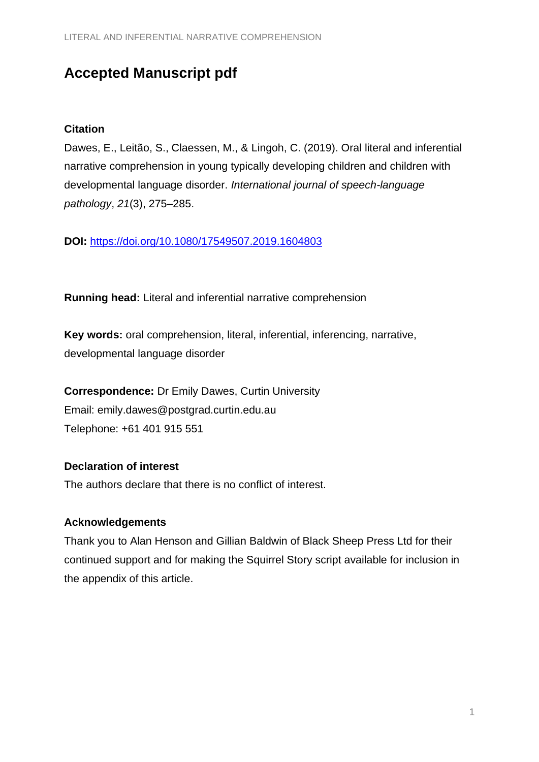# **Accepted Manuscript pdf**

### **Citation**

Dawes, E., Leitão, S., Claessen, M., & Lingoh, C. (2019). Oral literal and inferential narrative comprehension in young typically developing children and children with developmental language disorder. *International journal of speech-language pathology*, *21*(3), 275–285.

**DOI:** <https://doi.org/10.1080/17549507.2019.1604803>

**Running head:** Literal and inferential narrative comprehension

**Key words:** oral comprehension, literal, inferential, inferencing, narrative, developmental language disorder

**Correspondence:** Dr Emily Dawes, Curtin University Email: emily.dawes@postgrad.curtin.edu.au Telephone: +61 401 915 551

# **Declaration of interest**

The authors declare that there is no conflict of interest.

# **Acknowledgements**

Thank you to Alan Henson and Gillian Baldwin of Black Sheep Press Ltd for their continued support and for making the Squirrel Story script available for inclusion in the appendix of this article.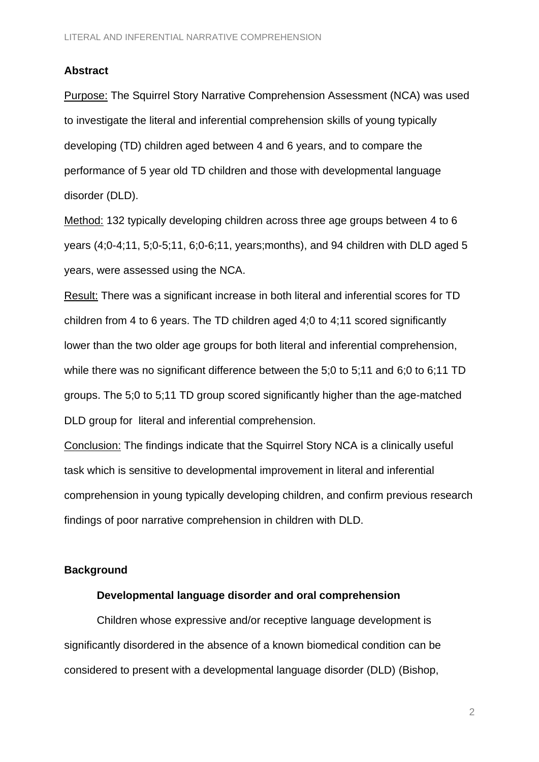#### **Abstract**

Purpose: The Squirrel Story Narrative Comprehension Assessment (NCA) was used to investigate the literal and inferential comprehension skills of young typically developing (TD) children aged between 4 and 6 years, and to compare the performance of 5 year old TD children and those with developmental language disorder (DLD).

Method: 132 typically developing children across three age groups between 4 to 6 years (4;0-4;11, 5;0-5;11, 6;0-6;11, years;months), and 94 children with DLD aged 5 years, were assessed using the NCA.

Result: There was a significant increase in both literal and inferential scores for TD children from 4 to 6 years. The TD children aged 4;0 to 4;11 scored significantly lower than the two older age groups for both literal and inferential comprehension, while there was no significant difference between the 5;0 to 5;11 and 6;0 to 6;11 TD groups. The 5;0 to 5;11 TD group scored significantly higher than the age-matched DLD group for literal and inferential comprehension.

Conclusion: The findings indicate that the Squirrel Story NCA is a clinically useful task which is sensitive to developmental improvement in literal and inferential comprehension in young typically developing children, and confirm previous research findings of poor narrative comprehension in children with DLD.

### **Background**

#### **Developmental language disorder and oral comprehension**

Children whose expressive and/or receptive language development is significantly disordered in the absence of a known biomedical condition can be considered to present with a developmental language disorder (DLD) (Bishop,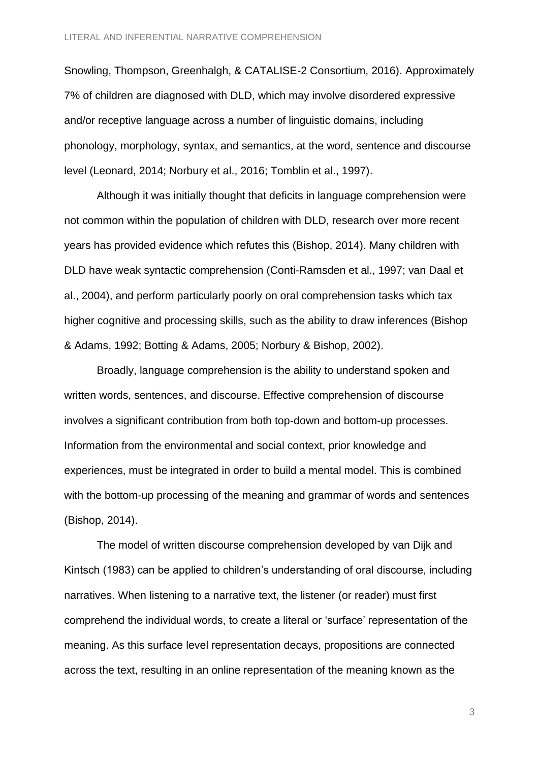Snowling, Thompson, Greenhalgh, & CATALISE-2 Consortium, 2016). Approximately 7% of children are diagnosed with DLD, which may involve disordered expressive and/or receptive language across a number of linguistic domains, including phonology, morphology, syntax, and semantics, at the word, sentence and discourse level (Leonard, 2014; Norbury et al., 2016; Tomblin et al., 1997).

Although it was initially thought that deficits in language comprehension were not common within the population of children with DLD, research over more recent years has provided evidence which refutes this (Bishop, 2014). Many children with DLD have weak syntactic comprehension (Conti-Ramsden et al., 1997; van Daal et al., 2004), and perform particularly poorly on oral comprehension tasks which tax higher cognitive and processing skills, such as the ability to draw inferences (Bishop & Adams, 1992; Botting & Adams, 2005; Norbury & Bishop, 2002).

Broadly, language comprehension is the ability to understand spoken and written words, sentences, and discourse. Effective comprehension of discourse involves a significant contribution from both top-down and bottom-up processes. Information from the environmental and social context, prior knowledge and experiences, must be integrated in order to build a mental model. This is combined with the bottom-up processing of the meaning and grammar of words and sentences (Bishop, 2014).

The model of written discourse comprehension developed by van Dijk and Kintsch (1983) can be applied to children's understanding of oral discourse, including narratives. When listening to a narrative text, the listener (or reader) must first comprehend the individual words, to create a literal or 'surface' representation of the meaning. As this surface level representation decays, propositions are connected across the text, resulting in an online representation of the meaning known as the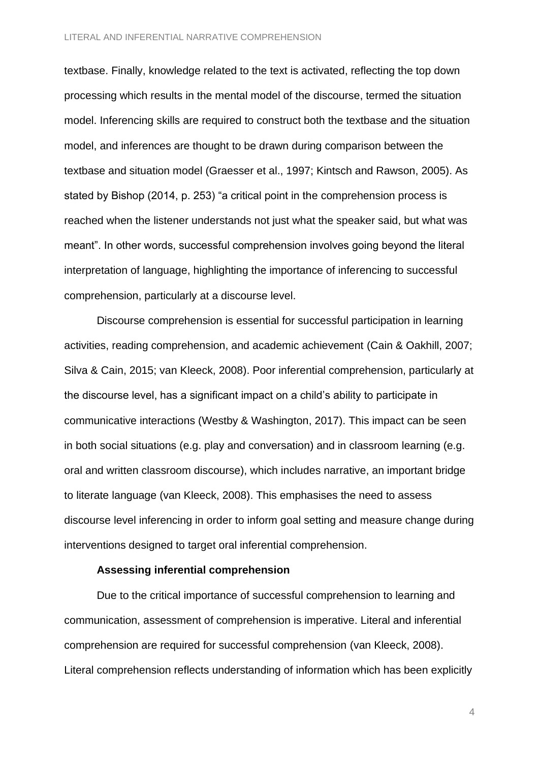textbase. Finally, knowledge related to the text is activated, reflecting the top down processing which results in the mental model of the discourse, termed the situation model. Inferencing skills are required to construct both the textbase and the situation model, and inferences are thought to be drawn during comparison between the textbase and situation model (Graesser et al., 1997; Kintsch and Rawson, 2005). As stated by Bishop (2014, p. 253) "a critical point in the comprehension process is reached when the listener understands not just what the speaker said, but what was meant". In other words, successful comprehension involves going beyond the literal interpretation of language, highlighting the importance of inferencing to successful comprehension, particularly at a discourse level.

Discourse comprehension is essential for successful participation in learning activities, reading comprehension, and academic achievement (Cain & Oakhill, 2007; Silva & Cain, 2015; van Kleeck, 2008). Poor inferential comprehension, particularly at the discourse level, has a significant impact on a child's ability to participate in communicative interactions (Westby & Washington, 2017). This impact can be seen in both social situations (e.g. play and conversation) and in classroom learning (e.g. oral and written classroom discourse), which includes narrative, an important bridge to literate language (van Kleeck, 2008). This emphasises the need to assess discourse level inferencing in order to inform goal setting and measure change during interventions designed to target oral inferential comprehension.

#### **Assessing inferential comprehension**

Due to the critical importance of successful comprehension to learning and communication, assessment of comprehension is imperative. Literal and inferential comprehension are required for successful comprehension (van Kleeck, 2008). Literal comprehension reflects understanding of information which has been explicitly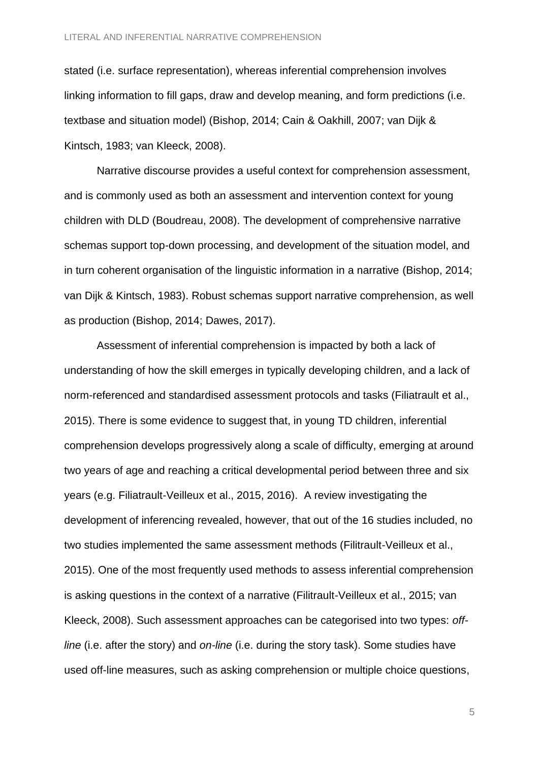stated (i.e. surface representation), whereas inferential comprehension involves linking information to fill gaps, draw and develop meaning, and form predictions (i.e. textbase and situation model) (Bishop, 2014; Cain & Oakhill, 2007; van Dijk & Kintsch, 1983; van Kleeck, 2008).

Narrative discourse provides a useful context for comprehension assessment, and is commonly used as both an assessment and intervention context for young children with DLD (Boudreau, 2008). The development of comprehensive narrative schemas support top-down processing, and development of the situation model, and in turn coherent organisation of the linguistic information in a narrative (Bishop, 2014; van Dijk & Kintsch, 1983). Robust schemas support narrative comprehension, as well as production (Bishop, 2014; Dawes, 2017).

Assessment of inferential comprehension is impacted by both a lack of understanding of how the skill emerges in typically developing children, and a lack of norm-referenced and standardised assessment protocols and tasks (Filiatrault et al., 2015). There is some evidence to suggest that, in young TD children, inferential comprehension develops progressively along a scale of difficulty, emerging at around two years of age and reaching a critical developmental period between three and six years (e.g. Filiatrault-Veilleux et al., 2015, 2016). A review investigating the development of inferencing revealed, however, that out of the 16 studies included, no two studies implemented the same assessment methods (Filitrault-Veilleux et al., 2015). One of the most frequently used methods to assess inferential comprehension is asking questions in the context of a narrative (Filitrault-Veilleux et al., 2015; van Kleeck, 2008). Such assessment approaches can be categorised into two types: *offline* (i.e. after the story) and *on-line* (i.e. during the story task). Some studies have used off-line measures, such as asking comprehension or multiple choice questions,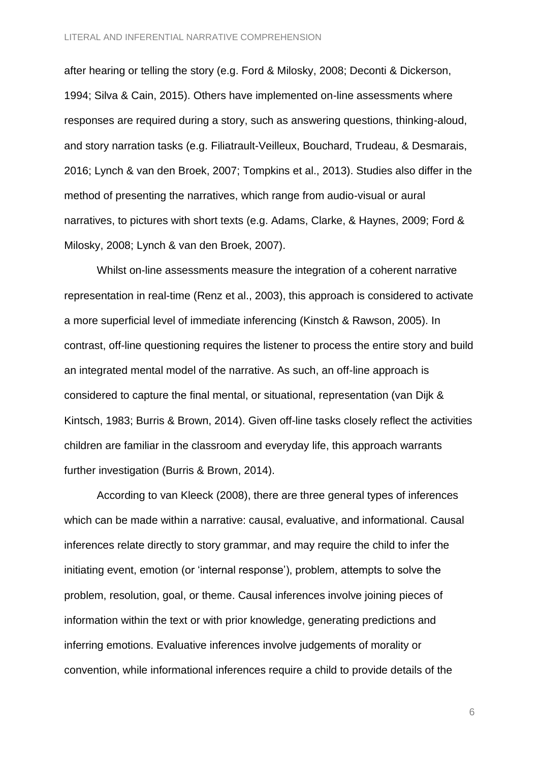after hearing or telling the story (e.g. Ford & Milosky, 2008; Deconti & Dickerson, 1994; Silva & Cain, 2015). Others have implemented on-line assessments where responses are required during a story, such as answering questions, thinking-aloud, and story narration tasks (e.g. Filiatrault-Veilleux, Bouchard, Trudeau, & Desmarais, 2016; Lynch & van den Broek, 2007; Tompkins et al., 2013). Studies also differ in the method of presenting the narratives, which range from audio-visual or aural narratives, to pictures with short texts (e.g. Adams, Clarke, & Haynes, 2009; Ford & Milosky, 2008; Lynch & van den Broek, 2007).

Whilst on-line assessments measure the integration of a coherent narrative representation in real-time (Renz et al., 2003), this approach is considered to activate a more superficial level of immediate inferencing (Kinstch & Rawson, 2005). In contrast, off-line questioning requires the listener to process the entire story and build an integrated mental model of the narrative. As such, an off-line approach is considered to capture the final mental, or situational, representation (van Dijk & Kintsch, 1983; Burris & Brown, 2014). Given off-line tasks closely reflect the activities children are familiar in the classroom and everyday life, this approach warrants further investigation (Burris & Brown, 2014).

According to van Kleeck (2008), there are three general types of inferences which can be made within a narrative: causal, evaluative, and informational. Causal inferences relate directly to story grammar, and may require the child to infer the initiating event, emotion (or 'internal response'), problem, attempts to solve the problem, resolution, goal, or theme. Causal inferences involve joining pieces of information within the text or with prior knowledge, generating predictions and inferring emotions. Evaluative inferences involve judgements of morality or convention, while informational inferences require a child to provide details of the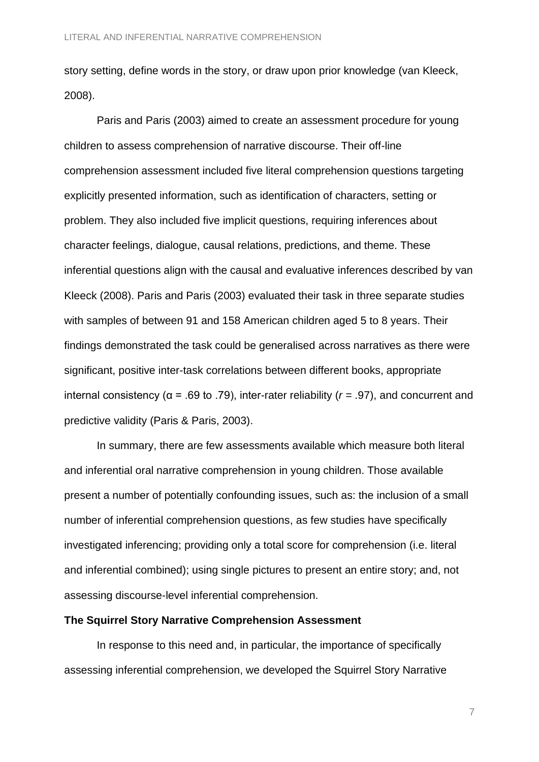story setting, define words in the story, or draw upon prior knowledge (van Kleeck, 2008).

Paris and Paris (2003) aimed to create an assessment procedure for young children to assess comprehension of narrative discourse. Their off-line comprehension assessment included five literal comprehension questions targeting explicitly presented information, such as identification of characters, setting or problem. They also included five implicit questions, requiring inferences about character feelings, dialogue, causal relations, predictions, and theme. These inferential questions align with the causal and evaluative inferences described by van Kleeck (2008). Paris and Paris (2003) evaluated their task in three separate studies with samples of between 91 and 158 American children aged 5 to 8 years. Their findings demonstrated the task could be generalised across narratives as there were significant, positive inter-task correlations between different books, appropriate internal consistency (α = .69 to .79), inter-rater reliability (*r =* .97), and concurrent and predictive validity (Paris & Paris, 2003).

In summary, there are few assessments available which measure both literal and inferential oral narrative comprehension in young children. Those available present a number of potentially confounding issues, such as: the inclusion of a small number of inferential comprehension questions, as few studies have specifically investigated inferencing; providing only a total score for comprehension (i.e. literal and inferential combined); using single pictures to present an entire story; and, not assessing discourse-level inferential comprehension.

#### **The Squirrel Story Narrative Comprehension Assessment**

In response to this need and, in particular, the importance of specifically assessing inferential comprehension, we developed the Squirrel Story Narrative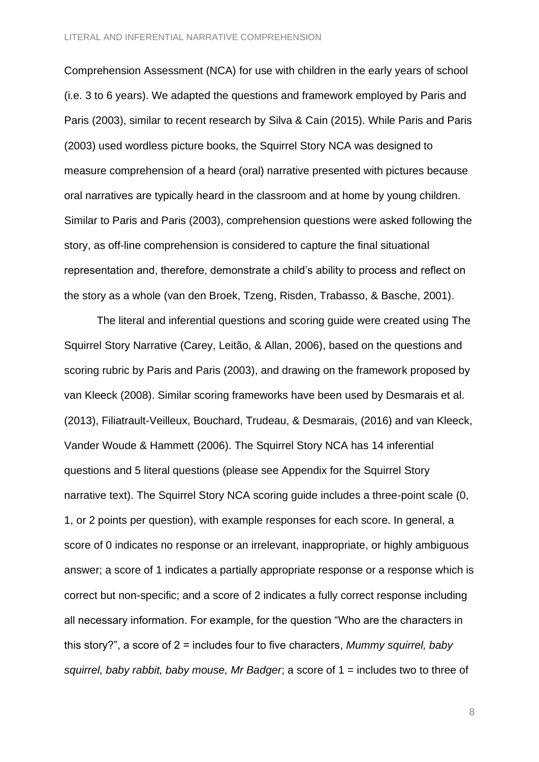Comprehension Assessment (NCA) for use with children in the early years of school (i.e. 3 to 6 years). We adapted the questions and framework employed by Paris and Paris (2003), similar to recent research by Silva & Cain (2015). While Paris and Paris (2003) used wordless picture books, the Squirrel Story NCA was designed to measure comprehension of a heard (oral) narrative presented with pictures because oral narratives are typically heard in the classroom and at home by young children. Similar to Paris and Paris (2003), comprehension questions were asked following the story, as off-line comprehension is considered to capture the final situational representation and, therefore, demonstrate a child's ability to process and reflect on the story as a whole (van den Broek, Tzeng, Risden, Trabasso, & Basche, 2001).

The literal and inferential questions and scoring guide were created using The Squirrel Story Narrative (Carey, Leitão, & Allan, 2006), based on the questions and scoring rubric by Paris and Paris (2003), and drawing on the framework proposed by van Kleeck (2008). Similar scoring frameworks have been used by Desmarais et al. (2013), Filiatrault-Veilleux, Bouchard, Trudeau, & Desmarais, (2016) and van Kleeck, Vander Woude & Hammett (2006). The Squirrel Story NCA has 14 inferential questions and 5 literal questions (please see Appendix for the Squirrel Story narrative text). The Squirrel Story NCA scoring guide includes a three-point scale (0, 1, or 2 points per question), with example responses for each score. In general, a score of 0 indicates no response or an irrelevant, inappropriate, or highly ambiguous answer; a score of 1 indicates a partially appropriate response or a response which is correct but non-specific; and a score of 2 indicates a fully correct response including all necessary information. For example, for the question "Who are the characters in this story?", a score of 2 = includes four to five characters, *Mummy squirrel, baby squirrel, baby rabbit, baby mouse, Mr Badger*; a score of 1 = includes two to three of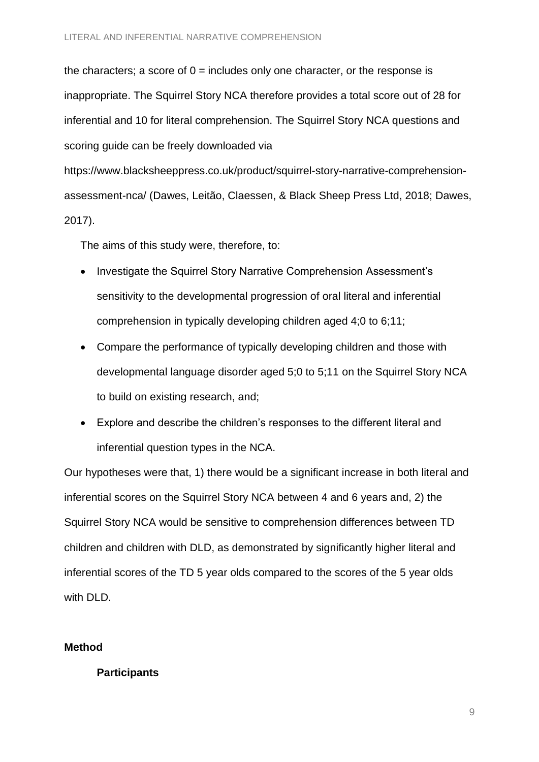the characters; a score of  $0 =$  includes only one character, or the response is inappropriate. The Squirrel Story NCA therefore provides a total score out of 28 for inferential and 10 for literal comprehension. The Squirrel Story NCA questions and scoring guide can be freely downloaded via

https://www.blacksheeppress.co.uk/product/squirrel-story-narrative-comprehensionassessment-nca/ (Dawes, Leitão, Claessen, & Black Sheep Press Ltd, 2018; Dawes, 2017).

The aims of this study were, therefore, to:

- Investigate the Squirrel Story Narrative Comprehension Assessment's sensitivity to the developmental progression of oral literal and inferential comprehension in typically developing children aged 4;0 to 6;11;
- Compare the performance of typically developing children and those with developmental language disorder aged 5;0 to 5;11 on the Squirrel Story NCA to build on existing research, and;
- Explore and describe the children's responses to the different literal and inferential question types in the NCA.

Our hypotheses were that, 1) there would be a significant increase in both literal and inferential scores on the Squirrel Story NCA between 4 and 6 years and, 2) the Squirrel Story NCA would be sensitive to comprehension differences between TD children and children with DLD, as demonstrated by significantly higher literal and inferential scores of the TD 5 year olds compared to the scores of the 5 year olds with DLD.

# **Method**

# **Participants**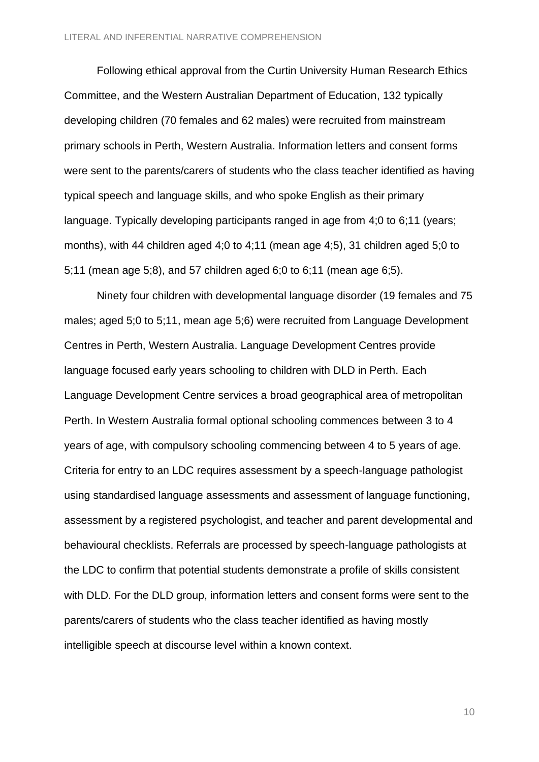Following ethical approval from the Curtin University Human Research Ethics Committee, and the Western Australian Department of Education, 132 typically developing children (70 females and 62 males) were recruited from mainstream primary schools in Perth, Western Australia. Information letters and consent forms were sent to the parents/carers of students who the class teacher identified as having typical speech and language skills, and who spoke English as their primary language. Typically developing participants ranged in age from 4;0 to 6;11 (years; months), with 44 children aged 4;0 to 4;11 (mean age 4;5), 31 children aged 5;0 to 5;11 (mean age 5;8), and 57 children aged 6;0 to 6;11 (mean age 6;5).

Ninety four children with developmental language disorder (19 females and 75 males; aged 5;0 to 5;11, mean age 5;6) were recruited from Language Development Centres in Perth, Western Australia. Language Development Centres provide language focused early years schooling to children with DLD in Perth. Each Language Development Centre services a broad geographical area of metropolitan Perth. In Western Australia formal optional schooling commences between 3 to 4 years of age, with compulsory schooling commencing between 4 to 5 years of age. Criteria for entry to an LDC requires assessment by a speech-language pathologist using standardised language assessments and assessment of language functioning, assessment by a registered psychologist, and teacher and parent developmental and behavioural checklists. Referrals are processed by speech-language pathologists at the LDC to confirm that potential students demonstrate a profile of skills consistent with DLD. For the DLD group, information letters and consent forms were sent to the parents/carers of students who the class teacher identified as having mostly intelligible speech at discourse level within a known context.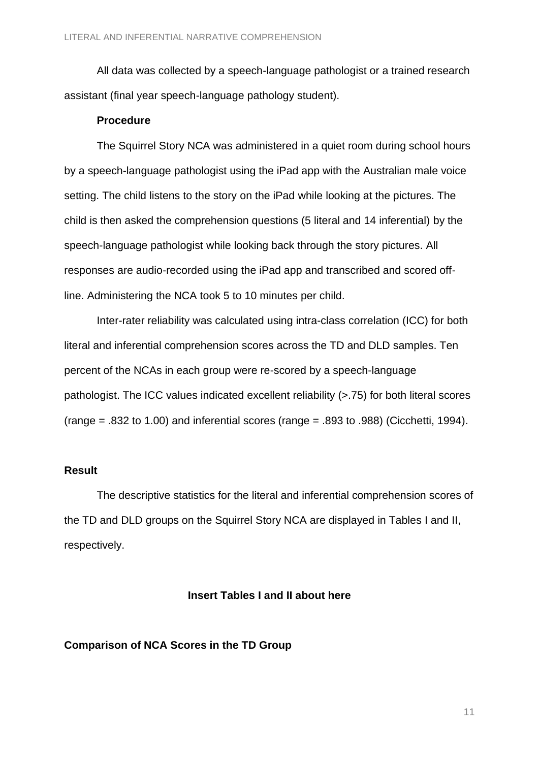All data was collected by a speech-language pathologist or a trained research assistant (final year speech-language pathology student).

#### **Procedure**

The Squirrel Story NCA was administered in a quiet room during school hours by a speech-language pathologist using the iPad app with the Australian male voice setting. The child listens to the story on the iPad while looking at the pictures. The child is then asked the comprehension questions (5 literal and 14 inferential) by the speech-language pathologist while looking back through the story pictures. All responses are audio-recorded using the iPad app and transcribed and scored offline. Administering the NCA took 5 to 10 minutes per child.

Inter-rater reliability was calculated using intra-class correlation (ICC) for both literal and inferential comprehension scores across the TD and DLD samples. Ten percent of the NCAs in each group were re-scored by a speech-language pathologist. The ICC values indicated excellent reliability (>.75) for both literal scores  $(range = .832 to 1.00)$  and inferential scores (range = .893 to .988) (Cicchetti, 1994).

### **Result**

The descriptive statistics for the literal and inferential comprehension scores of the TD and DLD groups on the Squirrel Story NCA are displayed in Tables I and II, respectively.

#### **Insert Tables I and II about here**

#### **Comparison of NCA Scores in the TD Group**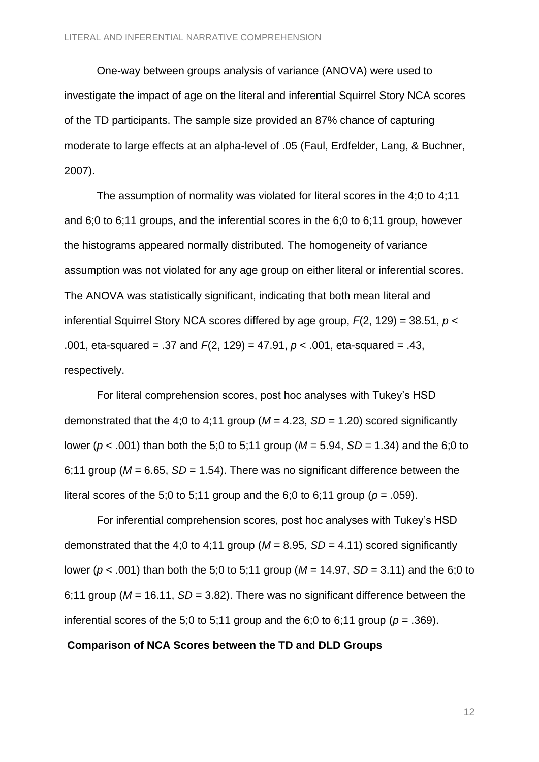One-way between groups analysis of variance (ANOVA) were used to investigate the impact of age on the literal and inferential Squirrel Story NCA scores of the TD participants. The sample size provided an 87% chance of capturing moderate to large effects at an alpha-level of .05 (Faul, Erdfelder, Lang, & Buchner, 2007).

The assumption of normality was violated for literal scores in the 4;0 to 4;11 and 6;0 to 6;11 groups, and the inferential scores in the 6;0 to 6;11 group, however the histograms appeared normally distributed. The homogeneity of variance assumption was not violated for any age group on either literal or inferential scores. The ANOVA was statistically significant, indicating that both mean literal and inferential Squirrel Story NCA scores differed by age group, *F*(2, 129) = 38.51, *p* < .001, eta-squared = .37 and *F*(2, 129) = 47.91, *p* < .001, eta-squared = .43, respectively.

For literal comprehension scores, post hoc analyses with Tukey's HSD demonstrated that the 4;0 to 4;11 group ( $M = 4.23$ ,  $SD = 1.20$ ) scored significantly lower (*p* < .001) than both the 5;0 to 5;11 group (*M* = 5.94, *SD* = 1.34) and the 6;0 to 6;11 group ( $M = 6.65$ ,  $SD = 1.54$ ). There was no significant difference between the literal scores of the 5;0 to 5;11 group and the 6;0 to 6;11 group ( $p = .059$ ).

For inferential comprehension scores, post hoc analyses with Tukey's HSD demonstrated that the 4;0 to 4;11 group ( $M = 8.95$ ,  $SD = 4.11$ ) scored significantly lower (*p* < .001) than both the 5;0 to 5;11 group (*M* = 14.97, *SD* = 3.11) and the 6;0 to 6;11 group ( $M = 16.11$ ,  $SD = 3.82$ ). There was no significant difference between the inferential scores of the 5:0 to 5:11 group and the 6:0 to 6:11 group ( $p = .369$ ).

#### **Comparison of NCA Scores between the TD and DLD Groups**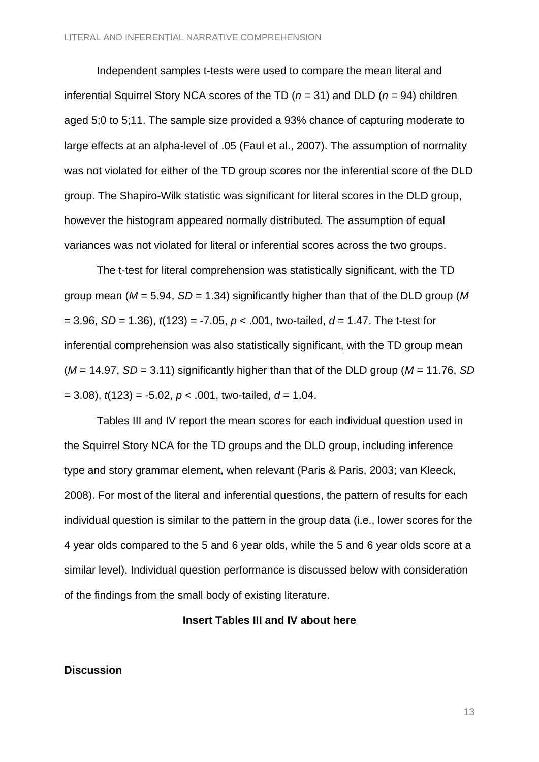Independent samples t-tests were used to compare the mean literal and inferential Squirrel Story NCA scores of the TD (*n* = 31) and DLD (*n* = 94) children aged 5;0 to 5;11. The sample size provided a 93% chance of capturing moderate to large effects at an alpha-level of .05 (Faul et al., 2007). The assumption of normality was not violated for either of the TD group scores nor the inferential score of the DLD group. The Shapiro-Wilk statistic was significant for literal scores in the DLD group, however the histogram appeared normally distributed. The assumption of equal variances was not violated for literal or inferential scores across the two groups.

The t-test for literal comprehension was statistically significant, with the TD group mean (*M* = 5.94, *SD* = 1.34) significantly higher than that of the DLD group (*M* = 3.96, *SD* = 1.36), *t*(123) = -7.05, *p* < .001, two-tailed, *d* = 1.47. The t-test for inferential comprehension was also statistically significant, with the TD group mean (*M* = 14.97, *SD* = 3.11) significantly higher than that of the DLD group (*M* = 11.76, *SD*  $= 3.08$ ,  $t(123) = -5.02$ ,  $p < .001$ , two-tailed,  $d = 1.04$ .

Tables III and IV report the mean scores for each individual question used in the Squirrel Story NCA for the TD groups and the DLD group, including inference type and story grammar element, when relevant (Paris & Paris, 2003; van Kleeck, 2008). For most of the literal and inferential questions, the pattern of results for each individual question is similar to the pattern in the group data (i.e., lower scores for the 4 year olds compared to the 5 and 6 year olds, while the 5 and 6 year olds score at a similar level). Individual question performance is discussed below with consideration of the findings from the small body of existing literature.

#### **Insert Tables III and IV about here**

#### **Discussion**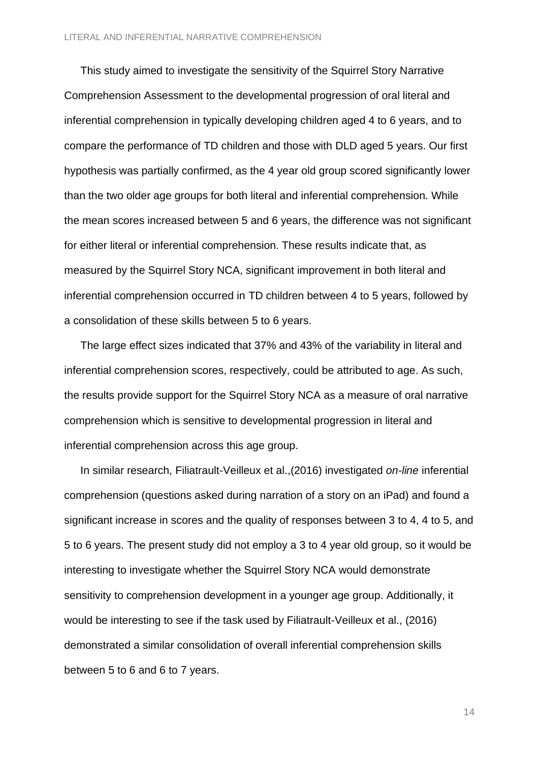This study aimed to investigate the sensitivity of the Squirrel Story Narrative Comprehension Assessment to the developmental progression of oral literal and inferential comprehension in typically developing children aged 4 to 6 years, and to compare the performance of TD children and those with DLD aged 5 years. Our first hypothesis was partially confirmed, as the 4 year old group scored significantly lower than the two older age groups for both literal and inferential comprehension. While the mean scores increased between 5 and 6 years, the difference was not significant for either literal or inferential comprehension. These results indicate that, as measured by the Squirrel Story NCA, significant improvement in both literal and inferential comprehension occurred in TD children between 4 to 5 years, followed by a consolidation of these skills between 5 to 6 years.

The large effect sizes indicated that 37% and 43% of the variability in literal and inferential comprehension scores, respectively, could be attributed to age. As such, the results provide support for the Squirrel Story NCA as a measure of oral narrative comprehension which is sensitive to developmental progression in literal and inferential comprehension across this age group.

In similar research, Filiatrault-Veilleux et al.,(2016) investigated *on-line* inferential comprehension (questions asked during narration of a story on an iPad) and found a significant increase in scores and the quality of responses between 3 to 4, 4 to 5, and 5 to 6 years. The present study did not employ a 3 to 4 year old group, so it would be interesting to investigate whether the Squirrel Story NCA would demonstrate sensitivity to comprehension development in a younger age group. Additionally, it would be interesting to see if the task used by Filiatrault-Veilleux et al., (2016) demonstrated a similar consolidation of overall inferential comprehension skills between 5 to 6 and 6 to 7 years.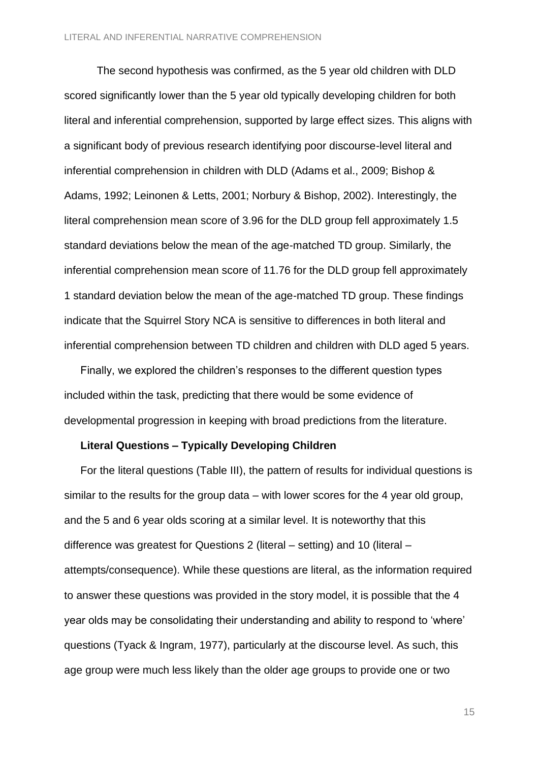The second hypothesis was confirmed, as the 5 year old children with DLD scored significantly lower than the 5 year old typically developing children for both literal and inferential comprehension, supported by large effect sizes. This aligns with a significant body of previous research identifying poor discourse-level literal and inferential comprehension in children with DLD (Adams et al., 2009; Bishop & Adams, 1992; Leinonen & Letts, 2001; Norbury & Bishop, 2002). Interestingly, the literal comprehension mean score of 3.96 for the DLD group fell approximately 1.5 standard deviations below the mean of the age-matched TD group. Similarly, the inferential comprehension mean score of 11.76 for the DLD group fell approximately 1 standard deviation below the mean of the age-matched TD group. These findings indicate that the Squirrel Story NCA is sensitive to differences in both literal and inferential comprehension between TD children and children with DLD aged 5 years.

Finally, we explored the children's responses to the different question types included within the task, predicting that there would be some evidence of developmental progression in keeping with broad predictions from the literature.

#### **Literal Questions – Typically Developing Children**

For the literal questions (Table III), the pattern of results for individual questions is similar to the results for the group data – with lower scores for the 4 year old group, and the 5 and 6 year olds scoring at a similar level. It is noteworthy that this difference was greatest for Questions 2 (literal – setting) and 10 (literal – attempts/consequence). While these questions are literal, as the information required to answer these questions was provided in the story model, it is possible that the 4 year olds may be consolidating their understanding and ability to respond to 'where' questions (Tyack & Ingram, 1977), particularly at the discourse level. As such, this age group were much less likely than the older age groups to provide one or two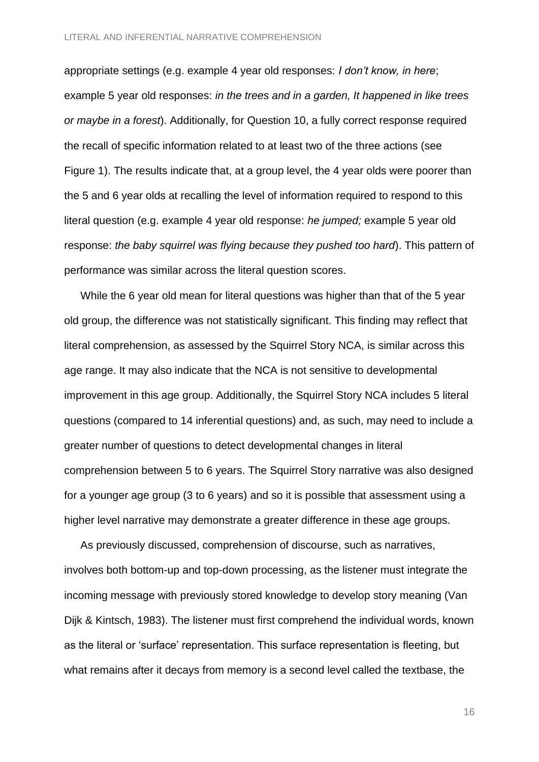appropriate settings (e.g. example 4 year old responses: *I don't know, in here*; example 5 year old responses: *in the trees and in a garden, It happened in like trees or maybe in a forest*). Additionally, for Question 10, a fully correct response required the recall of specific information related to at least two of the three actions (see Figure 1). The results indicate that, at a group level, the 4 year olds were poorer than the 5 and 6 year olds at recalling the level of information required to respond to this literal question (e.g. example 4 year old response: *he jumped;* example 5 year old response: *the baby squirrel was flying because they pushed too hard*). This pattern of performance was similar across the literal question scores.

While the 6 year old mean for literal questions was higher than that of the 5 year old group, the difference was not statistically significant. This finding may reflect that literal comprehension, as assessed by the Squirrel Story NCA, is similar across this age range. It may also indicate that the NCA is not sensitive to developmental improvement in this age group. Additionally, the Squirrel Story NCA includes 5 literal questions (compared to 14 inferential questions) and, as such, may need to include a greater number of questions to detect developmental changes in literal comprehension between 5 to 6 years. The Squirrel Story narrative was also designed for a younger age group (3 to 6 years) and so it is possible that assessment using a higher level narrative may demonstrate a greater difference in these age groups.

As previously discussed, comprehension of discourse, such as narratives, involves both bottom-up and top-down processing, as the listener must integrate the incoming message with previously stored knowledge to develop story meaning (Van Dijk & Kintsch, 1983). The listener must first comprehend the individual words, known as the literal or 'surface' representation. This surface representation is fleeting, but what remains after it decays from memory is a second level called the textbase, the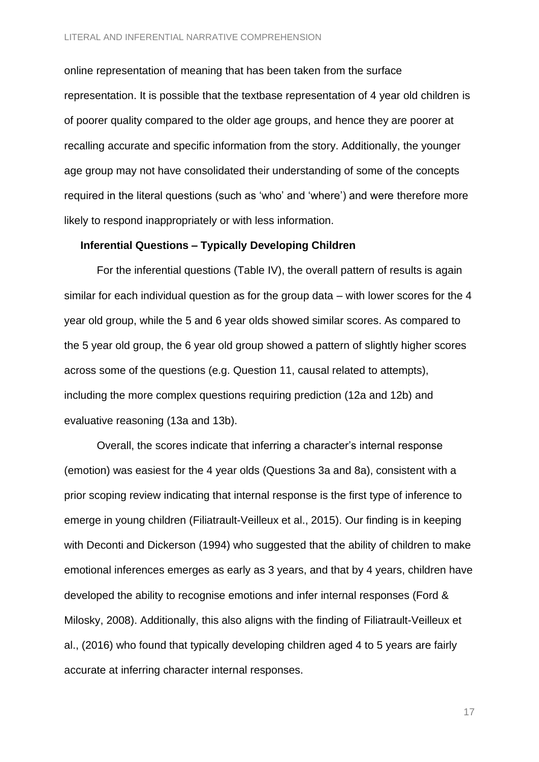online representation of meaning that has been taken from the surface representation. It is possible that the textbase representation of 4 year old children is of poorer quality compared to the older age groups, and hence they are poorer at recalling accurate and specific information from the story. Additionally, the younger age group may not have consolidated their understanding of some of the concepts required in the literal questions (such as 'who' and 'where') and were therefore more likely to respond inappropriately or with less information.

#### **Inferential Questions – Typically Developing Children**

For the inferential questions (Table IV), the overall pattern of results is again similar for each individual question as for the group data – with lower scores for the 4 year old group, while the 5 and 6 year olds showed similar scores. As compared to the 5 year old group, the 6 year old group showed a pattern of slightly higher scores across some of the questions (e.g. Question 11, causal related to attempts), including the more complex questions requiring prediction (12a and 12b) and evaluative reasoning (13a and 13b).

Overall, the scores indicate that inferring a character's internal response (emotion) was easiest for the 4 year olds (Questions 3a and 8a), consistent with a prior scoping review indicating that internal response is the first type of inference to emerge in young children (Filiatrault-Veilleux et al., 2015). Our finding is in keeping with Deconti and Dickerson (1994) who suggested that the ability of children to make emotional inferences emerges as early as 3 years, and that by 4 years, children have developed the ability to recognise emotions and infer internal responses (Ford & Milosky, 2008). Additionally, this also aligns with the finding of Filiatrault-Veilleux et al., (2016) who found that typically developing children aged 4 to 5 years are fairly accurate at inferring character internal responses.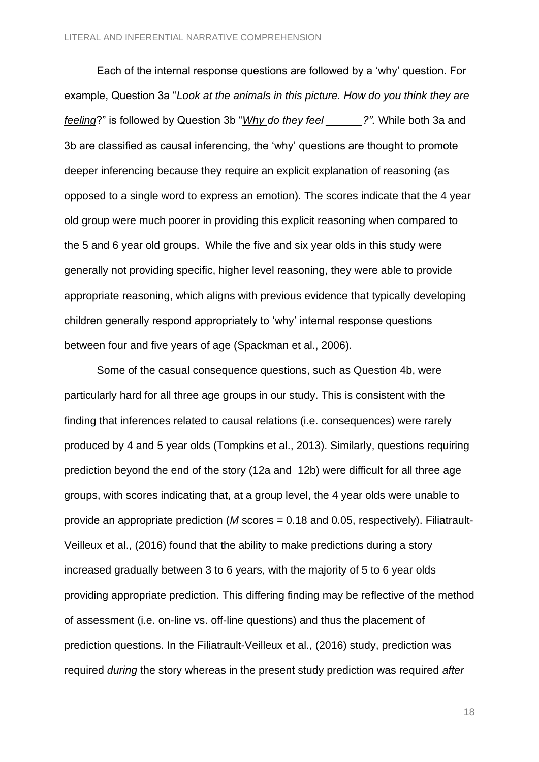Each of the internal response questions are followed by a 'why' question. For example, Question 3a "*Look at the animals in this picture. How do you think they are feeling*?" is followed by Question 3b "*Why do they feel \_\_\_\_\_\_?".* While both 3a and 3b are classified as causal inferencing, the 'why' questions are thought to promote deeper inferencing because they require an explicit explanation of reasoning (as opposed to a single word to express an emotion). The scores indicate that the 4 year old group were much poorer in providing this explicit reasoning when compared to the 5 and 6 year old groups. While the five and six year olds in this study were generally not providing specific, higher level reasoning, they were able to provide appropriate reasoning, which aligns with previous evidence that typically developing children generally respond appropriately to 'why' internal response questions between four and five years of age (Spackman et al., 2006).

Some of the casual consequence questions, such as Question 4b, were particularly hard for all three age groups in our study. This is consistent with the finding that inferences related to causal relations (i.e. consequences) were rarely produced by 4 and 5 year olds (Tompkins et al., 2013). Similarly, questions requiring prediction beyond the end of the story (12a and 12b) were difficult for all three age groups, with scores indicating that, at a group level, the 4 year olds were unable to provide an appropriate prediction (*M* scores = 0.18 and 0.05, respectively). Filiatrault-Veilleux et al., (2016) found that the ability to make predictions during a story increased gradually between 3 to 6 years, with the majority of 5 to 6 year olds providing appropriate prediction. This differing finding may be reflective of the method of assessment (i.e. on-line vs. off-line questions) and thus the placement of prediction questions. In the Filiatrault-Veilleux et al., (2016) study, prediction was required *during* the story whereas in the present study prediction was required *after*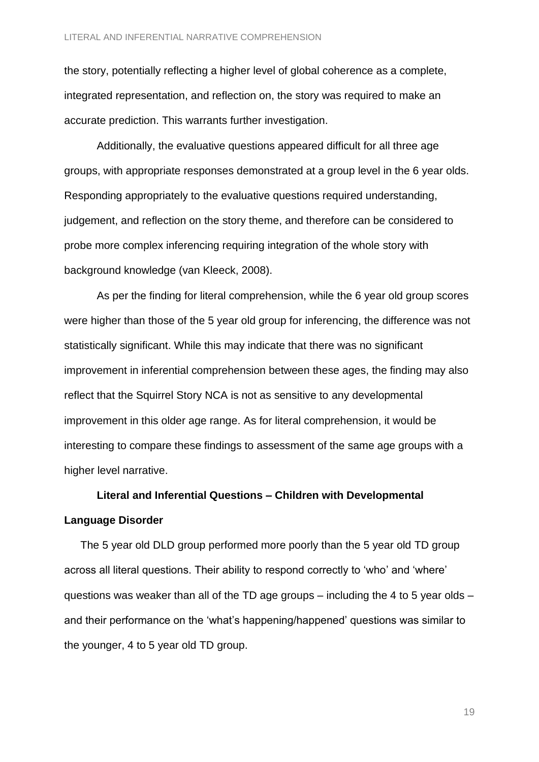the story, potentially reflecting a higher level of global coherence as a complete, integrated representation, and reflection on, the story was required to make an accurate prediction. This warrants further investigation.

Additionally, the evaluative questions appeared difficult for all three age groups, with appropriate responses demonstrated at a group level in the 6 year olds. Responding appropriately to the evaluative questions required understanding, judgement, and reflection on the story theme, and therefore can be considered to probe more complex inferencing requiring integration of the whole story with background knowledge (van Kleeck, 2008).

As per the finding for literal comprehension, while the 6 year old group scores were higher than those of the 5 year old group for inferencing, the difference was not statistically significant. While this may indicate that there was no significant improvement in inferential comprehension between these ages, the finding may also reflect that the Squirrel Story NCA is not as sensitive to any developmental improvement in this older age range. As for literal comprehension, it would be interesting to compare these findings to assessment of the same age groups with a higher level narrative.

# **Literal and Inferential Questions – Children with Developmental Language Disorder**

The 5 year old DLD group performed more poorly than the 5 year old TD group across all literal questions. Their ability to respond correctly to 'who' and 'where' questions was weaker than all of the TD age groups – including the 4 to 5 year olds – and their performance on the 'what's happening/happened' questions was similar to the younger, 4 to 5 year old TD group.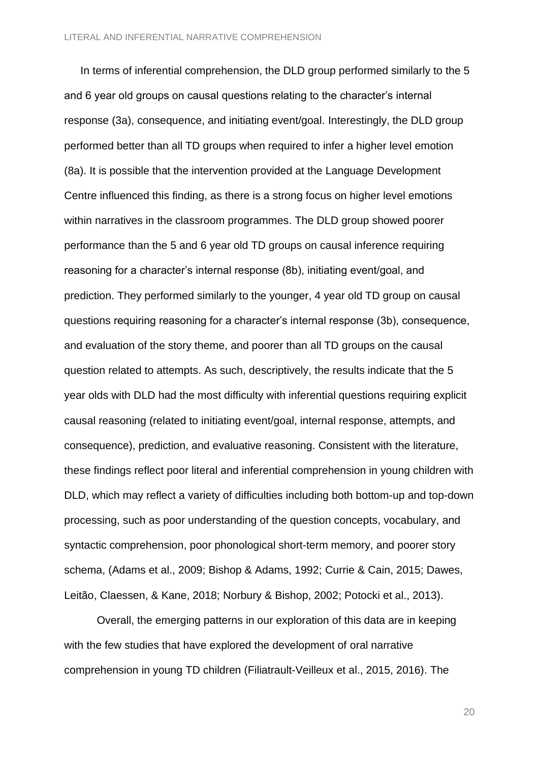In terms of inferential comprehension, the DLD group performed similarly to the 5 and 6 year old groups on causal questions relating to the character's internal response (3a), consequence, and initiating event/goal. Interestingly, the DLD group performed better than all TD groups when required to infer a higher level emotion (8a). It is possible that the intervention provided at the Language Development Centre influenced this finding, as there is a strong focus on higher level emotions within narratives in the classroom programmes. The DLD group showed poorer performance than the 5 and 6 year old TD groups on causal inference requiring reasoning for a character's internal response (8b), initiating event/goal, and prediction. They performed similarly to the younger, 4 year old TD group on causal questions requiring reasoning for a character's internal response (3b), consequence, and evaluation of the story theme, and poorer than all TD groups on the causal question related to attempts. As such, descriptively, the results indicate that the 5 year olds with DLD had the most difficulty with inferential questions requiring explicit causal reasoning (related to initiating event/goal, internal response, attempts, and consequence), prediction, and evaluative reasoning. Consistent with the literature, these findings reflect poor literal and inferential comprehension in young children with DLD, which may reflect a variety of difficulties including both bottom-up and top-down processing, such as poor understanding of the question concepts, vocabulary, and syntactic comprehension, poor phonological short-term memory, and poorer story schema, (Adams et al., 2009; Bishop & Adams, 1992; Currie & Cain, 2015; Dawes, Leitão, Claessen, & Kane, 2018; Norbury & Bishop, 2002; Potocki et al., 2013).

Overall, the emerging patterns in our exploration of this data are in keeping with the few studies that have explored the development of oral narrative comprehension in young TD children (Filiatrault-Veilleux et al., 2015, 2016). The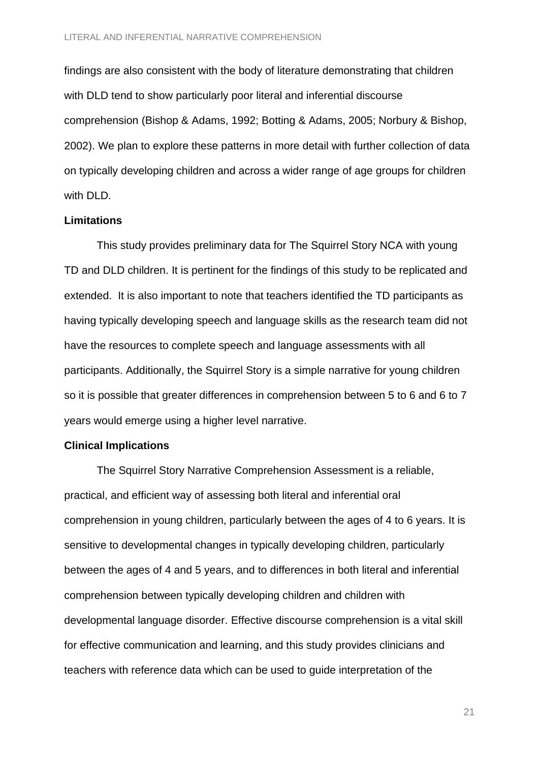findings are also consistent with the body of literature demonstrating that children with DLD tend to show particularly poor literal and inferential discourse comprehension (Bishop & Adams, 1992; Botting & Adams, 2005; Norbury & Bishop, 2002). We plan to explore these patterns in more detail with further collection of data on typically developing children and across a wider range of age groups for children with DLD.

#### **Limitations**

This study provides preliminary data for The Squirrel Story NCA with young TD and DLD children. It is pertinent for the findings of this study to be replicated and extended. It is also important to note that teachers identified the TD participants as having typically developing speech and language skills as the research team did not have the resources to complete speech and language assessments with all participants. Additionally, the Squirrel Story is a simple narrative for young children so it is possible that greater differences in comprehension between 5 to 6 and 6 to 7 years would emerge using a higher level narrative.

#### **Clinical Implications**

The Squirrel Story Narrative Comprehension Assessment is a reliable, practical, and efficient way of assessing both literal and inferential oral comprehension in young children, particularly between the ages of 4 to 6 years. It is sensitive to developmental changes in typically developing children, particularly between the ages of 4 and 5 years, and to differences in both literal and inferential comprehension between typically developing children and children with developmental language disorder. Effective discourse comprehension is a vital skill for effective communication and learning, and this study provides clinicians and teachers with reference data which can be used to guide interpretation of the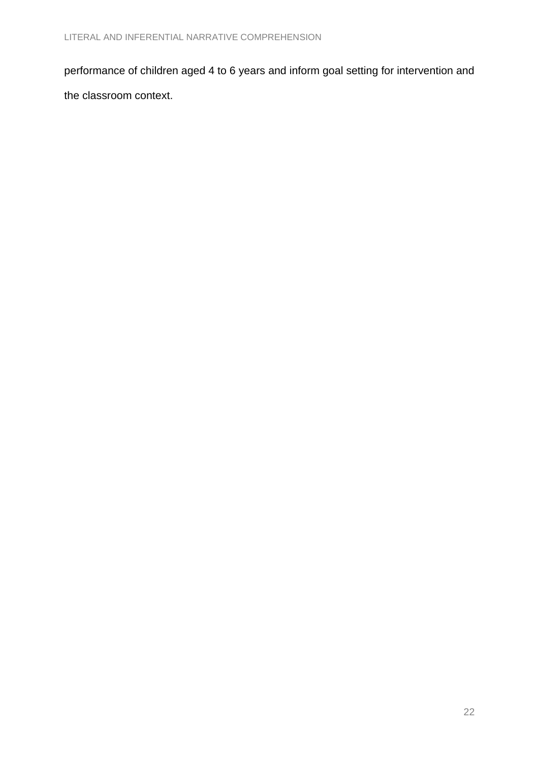performance of children aged 4 to 6 years and inform goal setting for intervention and the classroom context.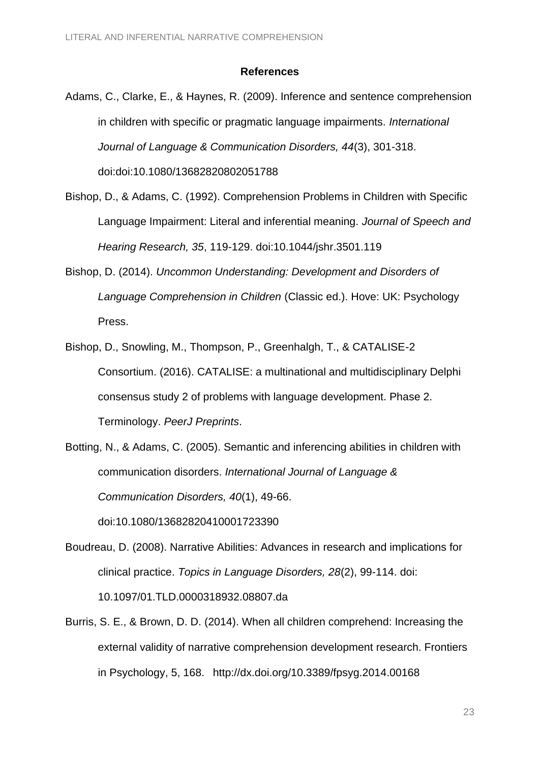#### **References**

Adams, C., Clarke, E., & Haynes, R. (2009). Inference and sentence comprehension in children with specific or pragmatic language impairments. *International Journal of Language & Communication Disorders, 44*(3), 301-318. doi:doi:10.1080/13682820802051788

Bishop, D., & Adams, C. (1992). Comprehension Problems in Children with Specific Language Impairment: Literal and inferential meaning. *Journal of Speech and Hearing Research, 35*, 119-129. doi:10.1044/jshr.3501.119

Bishop, D. (2014). *Uncommon Understanding: Development and Disorders of Language Comprehension in Children* (Classic ed.). Hove: UK: Psychology Press.

Bishop, D., Snowling, M., Thompson, P., Greenhalgh, T., & CATALISE-2 Consortium. (2016). CATALISE: a multinational and multidisciplinary Delphi consensus study 2 of problems with language development. Phase 2. Terminology. *PeerJ Preprints*.

Botting, N., & Adams, C. (2005). Semantic and inferencing abilities in children with communication disorders. *International Journal of Language & Communication Disorders, 40*(1), 49-66.

doi:10.1080/13682820410001723390

- Boudreau, D. (2008). Narrative Abilities: Advances in research and implications for clinical practice. *Topics in Language Disorders, 28*(2), 99-114. doi: 10.1097/01.TLD.0000318932.08807.da
- Burris, S. E., & Brown, D. D. (2014). When all children comprehend: Increasing the external validity of narrative comprehension development research. Frontiers in Psychology, 5, 168. http://dx.doi.org/10.3389/fpsyg.2014.00168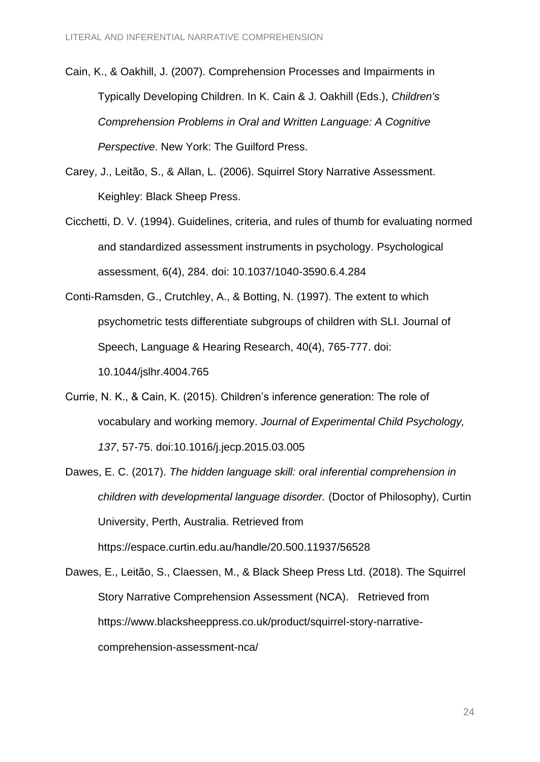- Cain, K., & Oakhill, J. (2007). Comprehension Processes and Impairments in Typically Developing Children. In K. Cain & J. Oakhill (Eds.), *Children's Comprehension Problems in Oral and Written Language: A Cognitive Perspective*. New York: The Guilford Press.
- Carey, J., Leitão, S., & Allan, L. (2006). Squirrel Story Narrative Assessment. Keighley: Black Sheep Press.
- Cicchetti, D. V. (1994). Guidelines, criteria, and rules of thumb for evaluating normed and standardized assessment instruments in psychology. Psychological assessment, 6(4), 284. doi: 10.1037/1040-3590.6.4.284
- Conti-Ramsden, G., Crutchley, A., & Botting, N. (1997). The extent to which psychometric tests differentiate subgroups of children with SLI. Journal of Speech, Language & Hearing Research, 40(4), 765-777. doi: 10.1044/jslhr.4004.765
- Currie, N. K., & Cain, K. (2015). Children's inference generation: The role of vocabulary and working memory. *Journal of Experimental Child Psychology, 137*, 57-75. doi:10.1016/j.jecp.2015.03.005
- Dawes, E. C. (2017). *The hidden language skill: oral inferential comprehension in children with developmental language disorder.* (Doctor of Philosophy), Curtin University, Perth, Australia. Retrieved from <https://espace.curtin.edu.au/handle/20.500.11937/56528>

Dawes, E., Leitão, S., Claessen, M., & Black Sheep Press Ltd. (2018). The Squirrel Story Narrative Comprehension Assessment (NCA). Retrieved from https://www.blacksheeppress.co.uk/product/squirrel-story-narrativecomprehension-assessment-nca/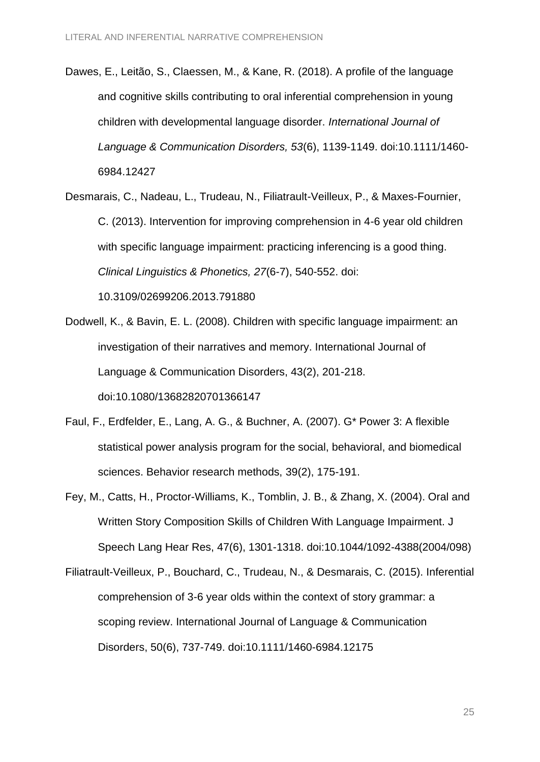- Dawes, E., Leitão, S., Claessen, M., & Kane, R. (2018). A profile of the language and cognitive skills contributing to oral inferential comprehension in young children with developmental language disorder. *International Journal of Language & Communication Disorders, 53*(6), 1139-1149. doi:10.1111/1460- 6984.12427
- Desmarais, C., Nadeau, L., Trudeau, N., Filiatrault-Veilleux, P., & Maxes-Fournier, C. (2013). Intervention for improving comprehension in 4-6 year old children with specific language impairment: practicing inferencing is a good thing. *Clinical Linguistics & Phonetics, 27*(6-7), 540-552. doi: 10.3109/02699206.2013.791880
- Dodwell, K., & Bavin, E. L. (2008). Children with specific language impairment: an investigation of their narratives and memory. International Journal of Language & Communication Disorders, 43(2), 201-218. doi:10.1080/13682820701366147
- Faul, F., Erdfelder, E., Lang, A. G., & Buchner, A. (2007). G\* Power 3: A flexible statistical power analysis program for the social, behavioral, and biomedical sciences. Behavior research methods, 39(2), 175-191.
- Fey, M., Catts, H., Proctor-Williams, K., Tomblin, J. B., & Zhang, X. (2004). Oral and Written Story Composition Skills of Children With Language Impairment. J Speech Lang Hear Res, 47(6), 1301-1318. doi:10.1044/1092-4388(2004/098)

Filiatrault-Veilleux, P., Bouchard, C., Trudeau, N., & Desmarais, C. (2015). Inferential comprehension of 3-6 year olds within the context of story grammar: a scoping review. International Journal of Language & Communication Disorders, 50(6), 737-749. doi:10.1111/1460-6984.12175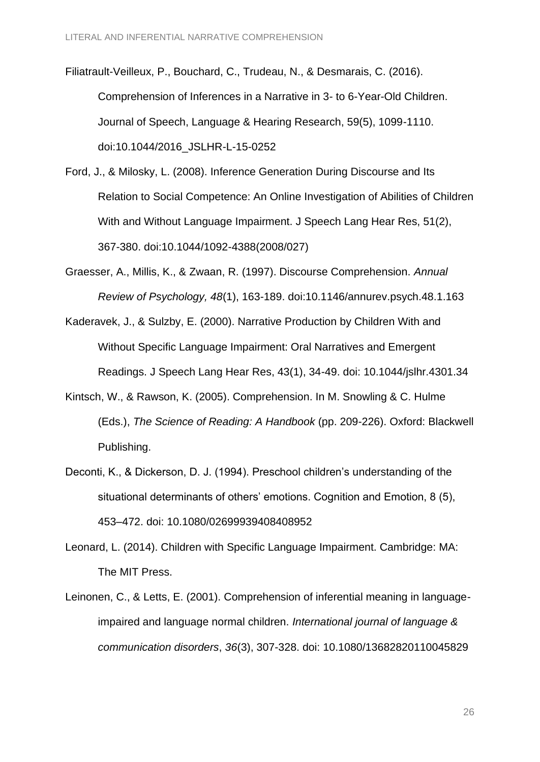Filiatrault-Veilleux, P., Bouchard, C., Trudeau, N., & Desmarais, C. (2016). Comprehension of Inferences in a Narrative in 3- to 6-Year-Old Children. Journal of Speech, Language & Hearing Research, 59(5), 1099-1110. doi:10.1044/2016\_JSLHR-L-15-0252

Ford, J., & Milosky, L. (2008). Inference Generation During Discourse and Its Relation to Social Competence: An Online Investigation of Abilities of Children With and Without Language Impairment. J Speech Lang Hear Res, 51(2), 367-380. doi:10.1044/1092-4388(2008/027)

Graesser, A., Millis, K., & Zwaan, R. (1997). Discourse Comprehension. *Annual Review of Psychology, 48*(1), 163-189. doi:10.1146/annurev.psych.48.1.163

Kaderavek, J., & Sulzby, E. (2000). Narrative Production by Children With and Without Specific Language Impairment: Oral Narratives and Emergent Readings. J Speech Lang Hear Res, 43(1), 34-49. doi: 10.1044/jslhr.4301.34

- Kintsch, W., & Rawson, K. (2005). Comprehension. In M. Snowling & C. Hulme (Eds.), *The Science of Reading: A Handbook* (pp. 209-226). Oxford: Blackwell Publishing.
- Deconti, K., & Dickerson, D. J. (1994). Preschool children's understanding of the situational determinants of others' emotions. Cognition and Emotion, 8 (5), 453–472. doi: 10.1080/02699939408408952
- Leonard, L. (2014). Children with Specific Language Impairment. Cambridge: MA: The MIT Press.
- Leinonen, C., & Letts, E. (2001). Comprehension of inferential meaning in languageimpaired and language normal children. *International journal of language & communication disorders*, *36*(3), 307-328. doi: [10.1080/13682820110045829](https://doi.org/10.1080/13682820110045829)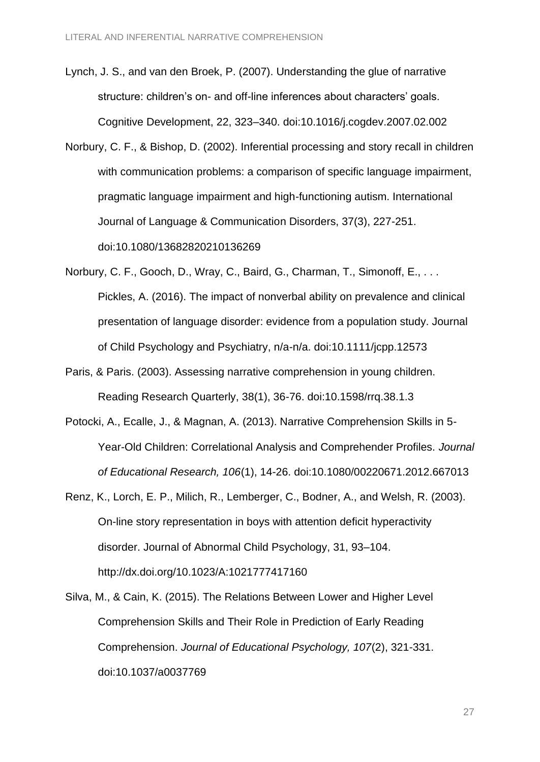Lynch, J. S., and van den Broek, P. (2007). Understanding the glue of narrative structure: children's on- and off-line inferences about characters' goals. Cognitive Development, 22, 323–340. doi:10.1016/j.cogdev.2007.02.002

- Norbury, C. F., & Bishop, D. (2002). Inferential processing and story recall in children with communication problems: a comparison of specific language impairment. pragmatic language impairment and high-functioning autism. International Journal of Language & Communication Disorders, 37(3), 227-251. doi:10.1080/13682820210136269
- Norbury, C. F., Gooch, D., Wray, C., Baird, G., Charman, T., Simonoff, E., . . . Pickles, A. (2016). The impact of nonverbal ability on prevalence and clinical presentation of language disorder: evidence from a population study. Journal of Child Psychology and Psychiatry, n/a-n/a. doi:10.1111/jcpp.12573
- Paris, & Paris. (2003). Assessing narrative comprehension in young children. Reading Research Quarterly, 38(1), 36-76. doi:10.1598/rrq.38.1.3
- Potocki, A., Ecalle, J., & Magnan, A. (2013). Narrative Comprehension Skills in 5- Year-Old Children: Correlational Analysis and Comprehender Profiles. *Journal of Educational Research, 106*(1), 14-26. doi:10.1080/00220671.2012.667013
- Renz, K., Lorch, E. P., Milich, R., Lemberger, C., Bodner, A., and Welsh, R. (2003). On-line story representation in boys with attention deficit hyperactivity disorder. Journal of Abnormal Child Psychology, 31, 93–104. http://dx.doi.org/10.1023/A:1021777417160
- Silva, M., & Cain, K. (2015). The Relations Between Lower and Higher Level Comprehension Skills and Their Role in Prediction of Early Reading Comprehension. *Journal of Educational Psychology, 107*(2), 321-331. doi:10.1037/a0037769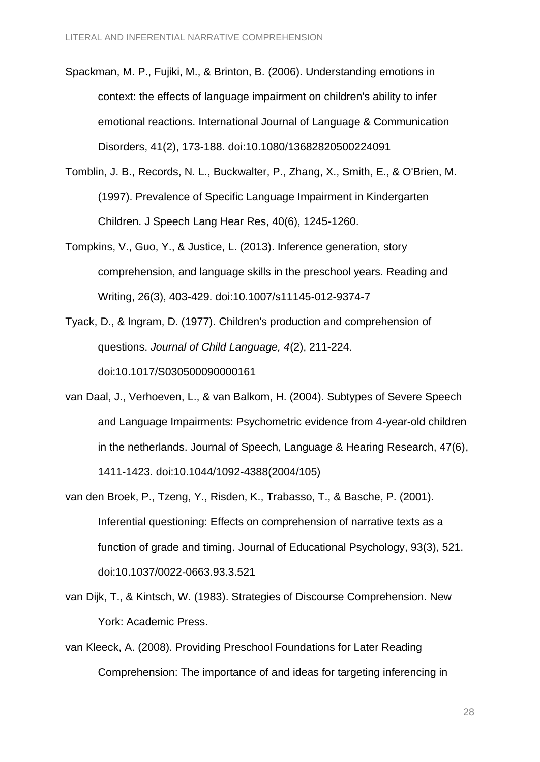- Spackman, M. P., Fujiki, M., & Brinton, B. (2006). Understanding emotions in context: the effects of language impairment on children's ability to infer emotional reactions. International Journal of Language & Communication Disorders, 41(2), 173-188. doi:10.1080/13682820500224091
- Tomblin, J. B., Records, N. L., Buckwalter, P., Zhang, X., Smith, E., & O'Brien, M. (1997). Prevalence of Specific Language Impairment in Kindergarten Children. J Speech Lang Hear Res, 40(6), 1245-1260.
- Tompkins, V., Guo, Y., & Justice, L. (2013). Inference generation, story comprehension, and language skills in the preschool years. Reading and Writing, 26(3), 403-429. doi:10.1007/s11145-012-9374-7
- Tyack, D., & Ingram, D. (1977). Children's production and comprehension of questions. *Journal of Child Language, 4*(2), 211-224. doi:10.1017/S030500090000161
- van Daal, J., Verhoeven, L., & van Balkom, H. (2004). Subtypes of Severe Speech and Language Impairments: Psychometric evidence from 4-year-old children in the netherlands. Journal of Speech, Language & Hearing Research, 47(6), 1411-1423. doi:10.1044/1092-4388(2004/105)
- van den Broek, P., Tzeng, Y., Risden, K., Trabasso, T., & Basche, P. (2001). Inferential questioning: Effects on comprehension of narrative texts as a function of grade and timing. Journal of Educational Psychology, 93(3), 521. doi:10.1037/0022-0663.93.3.521
- van Dijk, T., & Kintsch, W. (1983). Strategies of Discourse Comprehension. New York: Academic Press.
- van Kleeck, A. (2008). Providing Preschool Foundations for Later Reading Comprehension: The importance of and ideas for targeting inferencing in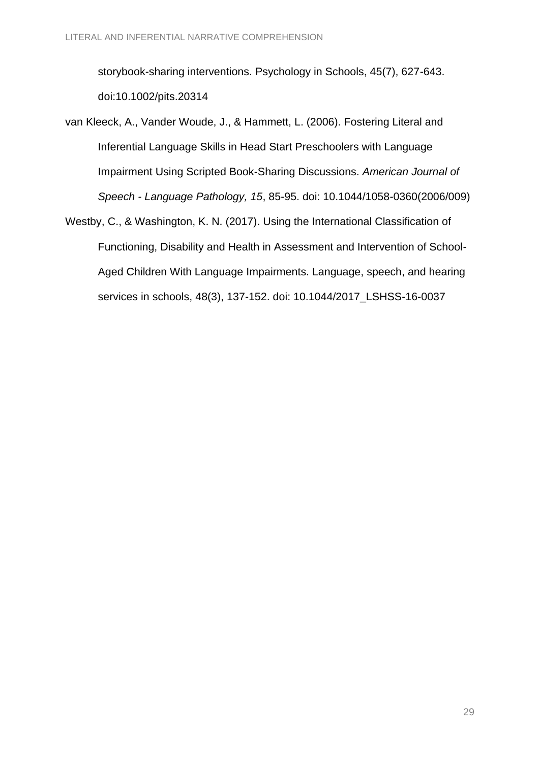storybook-sharing interventions. Psychology in Schools, 45(7), 627-643. doi:10.1002/pits.20314

- van Kleeck, A., Vander Woude, J., & Hammett, L. (2006). Fostering Literal and Inferential Language Skills in Head Start Preschoolers with Language Impairment Using Scripted Book-Sharing Discussions. *American Journal of Speech - Language Pathology, 15*, 85-95. doi: 10.1044/1058-0360(2006/009)
- Westby, C., & Washington, K. N. (2017). Using the International Classification of Functioning, Disability and Health in Assessment and Intervention of School-Aged Children With Language Impairments. Language, speech, and hearing services in schools, 48(3), 137-152. doi: [10.1044/2017\\_LSHSS-16-0037](http://dx.doi.org/10.1044/2017_LSHSS-16-0037)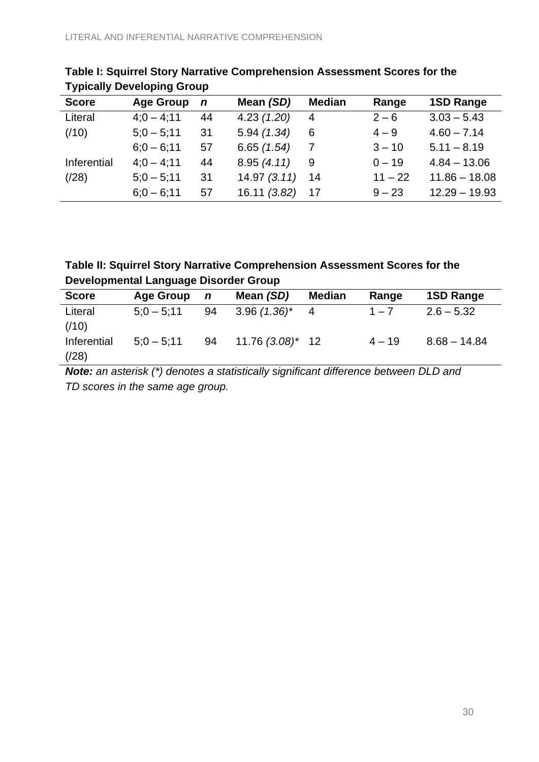| <b>Score</b> | <b>Age Group</b> | $\boldsymbol{n}$ | Mean (SD)   | <b>Median</b> | Range     | <b>1SD Range</b> |
|--------------|------------------|------------------|-------------|---------------|-----------|------------------|
| Literal      | $4:0 - 4:11$     | 44               | 4.23(1.20)  | 4             | $2 - 6$   | $3.03 - 5.43$    |
| (110)        | $5:0 - 5:11$     | 31               | 5.94(1.34)  | 6             | $4 - 9$   | $4.60 - 7.14$    |
|              | $6:0 - 6:11$     | 57               | 6.65(1.54)  | 7             | $3 - 10$  | $5.11 - 8.19$    |
| Inferential  | $4:0 - 4:11$     | 44               | 8.95(4.11)  | 9             | $0 - 19$  | $4.84 - 13.06$   |
| (28)         | $5:0 - 5:11$     | 31               | 14.97(3.11) | -14           | $11 - 22$ | $11.86 - 18.08$  |
|              | $6:0 - 6:11$     | 57               | 16.11(3.82) | 17            | $9 - 23$  | $12.29 - 19.93$  |
|              |                  |                  |             |               |           |                  |

# **Table I: Squirrel Story Narrative Comprehension Assessment Scores for the Typically Developing Group**

**Table II: Squirrel Story Narrative Comprehension Assessment Scores for the Developmental Language Disorder Group**

| <b>Score</b>        | <b>Age Group</b> | $\mathbf n$ | Mean (SD)                  | <b>Median</b> | Range    | <b>1SD Range</b> |
|---------------------|------------------|-------------|----------------------------|---------------|----------|------------------|
| Literal<br>(110)    | $5:0 - 5:11$     | 94          | $3.96$ (1.36) <sup>*</sup> | 4             | $1 - 7$  | $2.6 - 5.32$     |
| Inferential<br>(28) | $5:0 - 5:11$     | 94          | $11.76$ $(3.08)^*$ 12      |               | $4 - 19$ | $8.68 - 14.84$   |

*Note: an asterisk (\*) denotes a statistically significant difference between DLD and TD scores in the same age group.*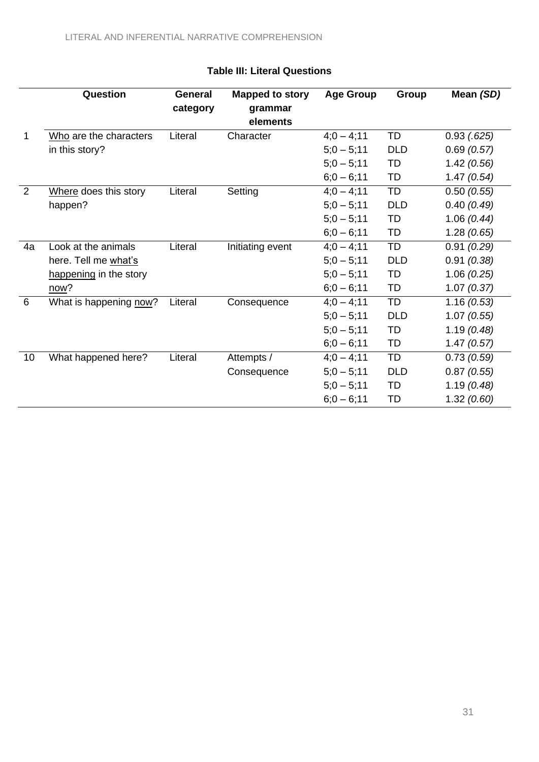|    | Question               | <b>General</b> | <b>Mapped to story</b> | <b>Age Group</b> | Group      | Mean (SD)       |
|----|------------------------|----------------|------------------------|------------------|------------|-----------------|
|    |                        | category       | grammar                |                  |            |                 |
|    |                        |                | elements               |                  |            |                 |
| 1  | Who are the characters | Literal        | Character              | $4:0 - 4:11$     | TD         | $0.93$ $(.625)$ |
|    | in this story?         |                |                        | $5;0 - 5;11$     | <b>DLD</b> | 0.69(0.57)      |
|    |                        |                |                        | $5;0 - 5;11$     | TD         | 1.42(0.56)      |
|    |                        |                |                        | $6;0 - 6;11$     | TD         | 1.47(0.54)      |
| 2  | Where does this story  | Literal        | Setting                | $4;0 - 4;11$     | TD         | 0.50(0.55)      |
|    | happen?                |                |                        | $5;0 - 5;11$     | <b>DLD</b> | 0.40(0.49)      |
|    |                        |                |                        | $5;0 - 5;11$     | TD         | 1.06(0.44)      |
|    |                        |                |                        | $6;0 - 6;11$     | TD         | 1.28(0.65)      |
| 4a | Look at the animals    | Literal        | Initiating event       | $4;0 - 4;11$     | TD         | 0.91(0.29)      |
|    | here. Tell me what's   |                |                        | $5;0 - 5;11$     | <b>DLD</b> | 0.91(0.38)      |
|    | happening in the story |                |                        | $5:0 - 5:11$     | TD         | 1.06(0.25)      |
|    | now?                   |                |                        | $6;0 - 6;11$     | TD         | 1.07(0.37)      |
| 6  | What is happening now? | Literal        | Consequence            | $4;0 - 4;11$     | TD         | 1.16(0.53)      |
|    |                        |                |                        | $5;0 - 5;11$     | <b>DLD</b> | 1.07(0.55)      |
|    |                        |                |                        | $5;0 - 5;11$     | TD         | 1.19(0.48)      |
|    |                        |                |                        | $6;0 - 6;11$     | TD         | 1.47(0.57)      |
| 10 | What happened here?    | Literal        | Attempts /             | $4;0 - 4;11$     | TD         | 0.73(0.59)      |
|    |                        |                | Consequence            | $5;0 - 5;11$     | <b>DLD</b> | 0.87(0.55)      |
|    |                        |                |                        | $5;0 - 5;11$     | TD         | 1.19(0.48)      |
|    |                        |                |                        | $6;0 - 6;11$     | TD         | 1.32(0.60)      |

# **Table III: Literal Questions**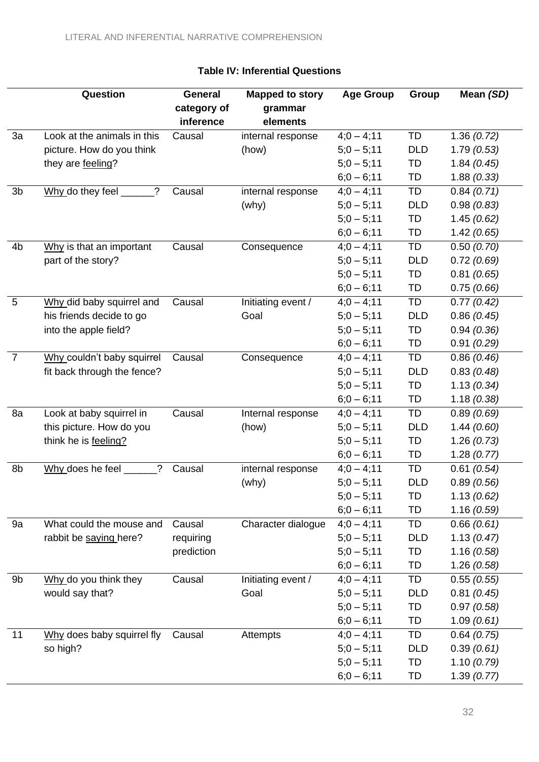|                | Question                          | <b>General</b> | <b>Mapped to story</b> | <b>Age Group</b> | Group      | Mean (SD)  |
|----------------|-----------------------------------|----------------|------------------------|------------------|------------|------------|
|                |                                   | category of    | grammar                |                  |            |            |
|                |                                   | inference      | elements               |                  |            |            |
| 3a             | Look at the animals in this       | Causal         | internal response      | $4;0 - 4;11$     | TD         | 1.36(0.72) |
|                | picture. How do you think         |                | (how)                  | $5;0 - 5;11$     | <b>DLD</b> | 1.79(0.53) |
|                | they are feeling?                 |                |                        | $5:0 - 5:11$     | TD         | 1.84(0.45) |
|                |                                   |                |                        | $6;0 - 6;11$     | TD         | 1.88(0.33) |
| 3b             | Why do they feel $\_$<br>$\gamma$ | Causal         | internal response      | $4;0 - 4;11$     | TD         | 0.84(0.71) |
|                |                                   |                | (why)                  | $5;0 - 5;11$     | <b>DLD</b> | 0.98(0.83) |
|                |                                   |                |                        | $5;0 - 5;11$     | TD         | 1.45(0.62) |
|                |                                   |                |                        | $6;0 - 6;11$     | TD         | 1.42(0.65) |
| 4 <sub>b</sub> | Why is that an important          | Causal         | Consequence            | $4:0 - 4:11$     | TD         | 0.50(0.70) |
|                | part of the story?                |                |                        | $5;0 - 5;11$     | <b>DLD</b> | 0.72(0.69) |
|                |                                   |                |                        | $5;0 - 5;11$     | TD         | 0.81(0.65) |
|                |                                   |                |                        | $6;0 - 6;11$     | TD         | 0.75(0.66) |
| 5              | Why did baby squirrel and         | Causal         | Initiating event /     | $4;0 - 4;11$     | TD         | 0.77(0.42) |
|                | his friends decide to go          |                | Goal                   | $5;0 - 5;11$     | <b>DLD</b> | 0.86(0.45) |
|                | into the apple field?             |                |                        | $5;0 - 5;11$     | TD         | 0.94(0.36) |
|                |                                   |                |                        | $6;0 - 6;11$     | TD         | 0.91(0.29) |
| $\overline{7}$ | Why couldn't baby squirrel        | Causal         | Consequence            | $4;0 - 4;11$     | TD         | 0.86(0.46) |
|                | fit back through the fence?       |                |                        | $5;0 - 5;11$     | <b>DLD</b> | 0.83(0.48) |
|                |                                   |                |                        | $5:0 - 5:11$     | TD         | 1.13(0.34) |
|                |                                   |                |                        | $6;0 - 6;11$     | TD         | 1.18(0.38) |
| 8a             | Look at baby squirrel in          | Causal         | Internal response      | $4;0 - 4;11$     | TD         | 0.89(0.69) |
|                | this picture. How do you          |                | (how)                  | $5;0 - 5;11$     | <b>DLD</b> | 1.44(0.60) |
|                | think he is feeling?              |                |                        | $5;0 - 5;11$     | TD         | 1.26(0.73) |
|                |                                   |                |                        | $6;0 - 6;11$     | TD         | 1.28(0.77) |
| 8b             | Why does he feel<br>?             | Causal         | internal response      | $4;0 - 4;11$     | TD         | 0.61(0.54) |
|                |                                   |                | (why)                  | $5;0 - 5;11$     | <b>DLD</b> | 0.89(0.56) |
|                |                                   |                |                        | $5;0 - 5;11$     | TD         | 1.13(0.62) |
|                |                                   |                |                        | $6;0 - 6;11$     | TD         | 1.16(0.59) |
| 9a             | What could the mouse and          | Causal         | Character dialogue     | $4;0 - 4;11$     | TD         | 0.66(0.61) |
|                | rabbit be saying here?            | requiring      |                        | $5;0 - 5;11$     | <b>DLD</b> | 1.13(0.47) |
|                |                                   | prediction     |                        | $5;0 - 5;11$     | TD         | 1.16(0.58) |
|                |                                   |                |                        | $6;0 - 6;11$     | TD         | 1.26(0.58) |
| 9b             | Why do you think they             | Causal         | Initiating event /     | $4:0 - 4:11$     | TD         | 0.55(0.55) |
|                | would say that?                   |                | Goal                   | $5;0 - 5;11$     | <b>DLD</b> | 0.81(0.45) |
|                |                                   |                |                        | $5;0 - 5;11$     | TD         | 0.97(0.58) |
|                |                                   |                |                        | $6;0 - 6;11$     | TD         | 1.09(0.61) |
| 11             | Why does baby squirrel fly        | Causal         | Attempts               | $4;0 - 4;11$     | TD         | 0.64(0.75) |
|                | so high?                          |                |                        | $5;0 - 5;11$     | <b>DLD</b> | 0.39(0.61) |
|                |                                   |                |                        | $5;0 - 5;11$     | TD         | 1.10(0.79) |
|                |                                   |                |                        | $6;0 - 6;11$     | TD         | 1.39(0.77) |

# **Table IV: Inferential Questions**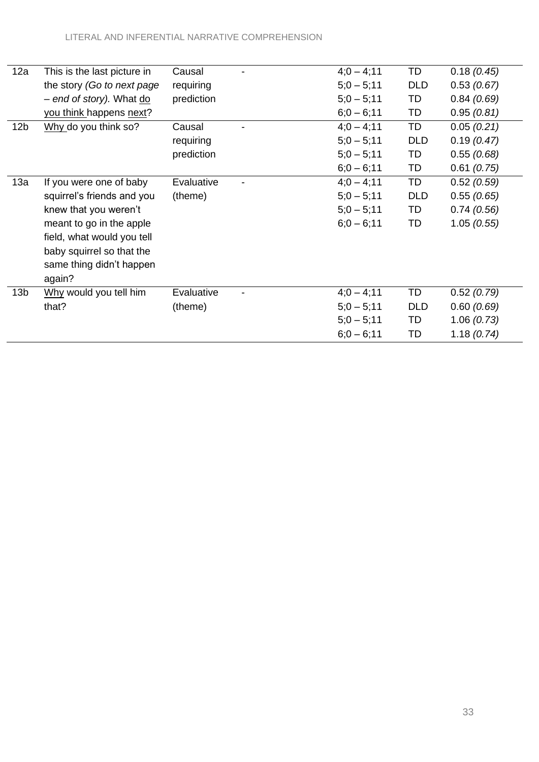| 12a             | This is the last picture in | Causal     | $4;0 - 4;11$ | TD         | 0.18(0.45) |
|-----------------|-----------------------------|------------|--------------|------------|------------|
|                 | the story (Go to next page  | requiring  | $5;0 - 5;11$ | <b>DLD</b> | 0.53(0.67) |
|                 | - end of story). What do    | prediction | $5;0 - 5;11$ | TD         | 0.84(0.69) |
|                 | you think happens next?     |            | $6;0 - 6;11$ | TD         | 0.95(0.81) |
| 12 <sub>b</sub> | Why do you think so?        | Causal     | $4:0 - 4:11$ | TD         | 0.05(0.21) |
|                 |                             | requiring  | $5;0 - 5;11$ | <b>DLD</b> | 0.19(0.47) |
|                 |                             | prediction | $5;0 - 5;11$ | TD         | 0.55(0.68) |
|                 |                             |            | $6;0 - 6;11$ | TD         | 0.61(0.75) |
| 13a             | If you were one of baby     | Evaluative | $4:0 - 4:11$ | TD         | 0.52(0.59) |
|                 | squirrel's friends and you  | (theme)    | $5;0 - 5;11$ | <b>DLD</b> | 0.55(0.65) |
|                 | knew that you weren't       |            | $5:0 - 5:11$ | TD         | 0.74(0.56) |
|                 | meant to go in the apple    |            | $6;0 - 6;11$ | TD         | 1.05(0.55) |
|                 | field, what would you tell  |            |              |            |            |
|                 | baby squirrel so that the   |            |              |            |            |
|                 | same thing didn't happen    |            |              |            |            |
|                 | again?                      |            |              |            |            |
| 13 <sub>b</sub> | Why would you tell him      | Evaluative | $4:0 - 4:11$ | TD         | 0.52(0.79) |
|                 | that?                       | (theme)    | $5;0 - 5;11$ | <b>DLD</b> | 0.60(0.69) |
|                 |                             |            | $5;0 - 5;11$ | TD         | 1.06(0.73) |
|                 |                             |            | $6;0 - 6;11$ | TD         | 1.18(0.74) |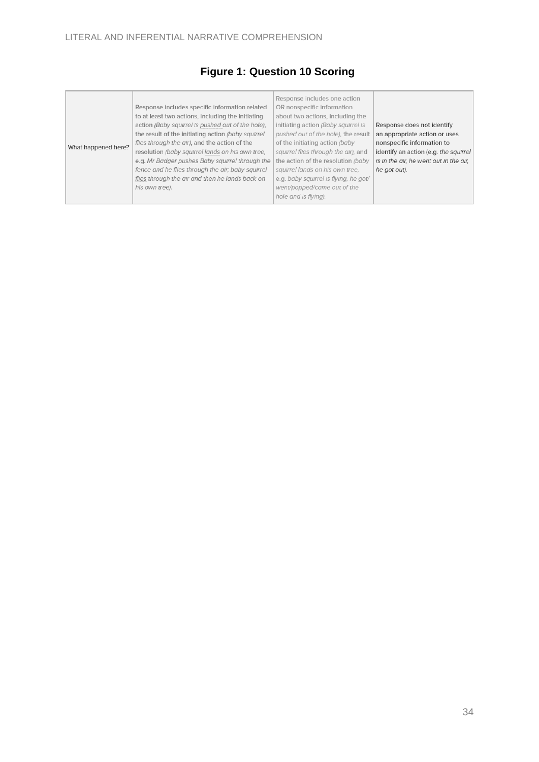# **Figure 1: Question 10 Scoring**

| What happened here? | Response includes specific information related<br>to at least two actions, including the initiating<br>action (Baby squirrel is pushed out of the hole),<br>the result of the initiating action (baby squirrel<br>flies through the air), and the action of the<br>resolution (baby squirrel lands on his own tree,<br>e.g. Mr Badger pushes Baby squirrel through the<br>fence and he flies through the air; baby squirrel<br>flies through the air and then he lands back on<br>his own tree). | Response includes one action<br>OR nonspecific information<br>about two actions, including the<br>initiating action (Baby squirrel is<br>pushed out of the hole), the result<br>of the initiating action (baby<br>squirrel flies through the air), and<br>the action of the resolution (baby<br>squirrel lands on his own tree,<br>e.g. baby squirrel is flying, he got/<br>went/popped/came out of the<br>hole and is flying). | Response does not identify<br>an appropriate action or uses<br>nonspecific information to<br>identify an action (e.g. the squirrel<br>is in the air, he went out in the air,<br>he got out). |
|---------------------|--------------------------------------------------------------------------------------------------------------------------------------------------------------------------------------------------------------------------------------------------------------------------------------------------------------------------------------------------------------------------------------------------------------------------------------------------------------------------------------------------|---------------------------------------------------------------------------------------------------------------------------------------------------------------------------------------------------------------------------------------------------------------------------------------------------------------------------------------------------------------------------------------------------------------------------------|----------------------------------------------------------------------------------------------------------------------------------------------------------------------------------------------|
|---------------------|--------------------------------------------------------------------------------------------------------------------------------------------------------------------------------------------------------------------------------------------------------------------------------------------------------------------------------------------------------------------------------------------------------------------------------------------------------------------------------------------------|---------------------------------------------------------------------------------------------------------------------------------------------------------------------------------------------------------------------------------------------------------------------------------------------------------------------------------------------------------------------------------------------------------------------------------|----------------------------------------------------------------------------------------------------------------------------------------------------------------------------------------------|